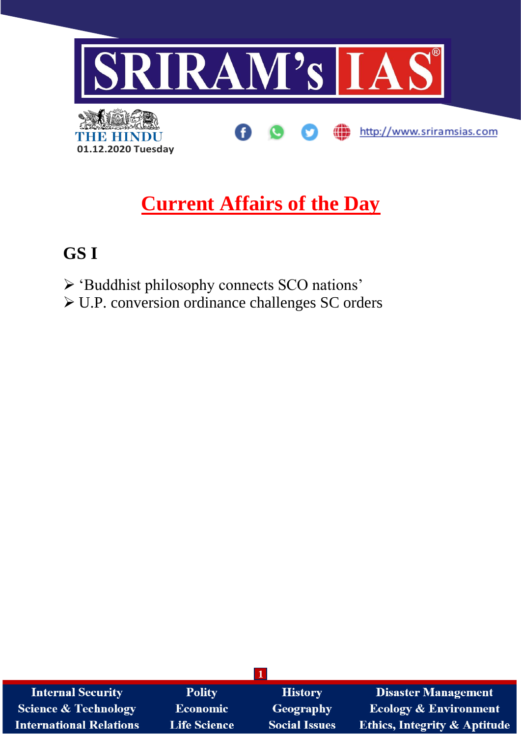

# **Current Affairs of the Day**

## GS I

- > 'Buddhist philosophy connects SCO nations'
- $\triangleright$  U.P. conversion ordinance challenges SC orders

| <b>Internal Security</b>       | <b>Polity</b>       | <b>History</b>       | <b>Disaster Management</b>              |
|--------------------------------|---------------------|----------------------|-----------------------------------------|
| Science & Technology           | <b>Economic</b>     | Geography            | <b>Ecology &amp; Environment</b>        |
| <b>International Relations</b> | <b>Life Science</b> | <b>Social Issues</b> | <b>Ethics, Integrity &amp; Aptitude</b> |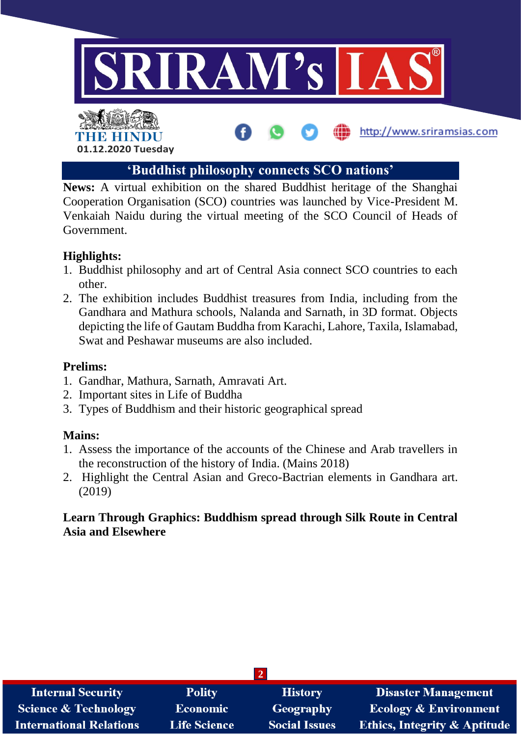

### **'Buddhist philosophy connects SCO nations'**

**News:** A virtual exhibition on the shared Buddhist heritage of the Shanghai Cooperation Organisation (SCO) countries was launched by Vice-President M. Venkaiah Naidu during the virtual meeting of the SCO Council of Heads of Government.

#### **Highlights:**

- 1. Buddhist philosophy and art of Central Asia connect SCO countries to each other.
- 2. The exhibition includes Buddhist treasures from India, including from the Gandhara and Mathura schools, Nalanda and Sarnath, in 3D format. Objects depicting the life of Gautam Buddha from Karachi, Lahore, Taxila, Islamabad, Swat and Peshawar museums are also included.

#### **Prelims:**

- 1. Gandhar, Mathura, Sarnath, Amravati Art.
- 2. Important sites in Life of Buddha
- 3. Types of Buddhism and their historic geographical spread

#### **Mains:**

- 1. Assess the importance of the accounts of the Chinese and Arab travellers in the reconstruction of the history of India. (Mains 2018)
- 2. Highlight the Central Asian and Greco-Bactrian elements in Gandhara art. (2019)

#### **Learn Through Graphics: Buddhism spread through Silk Route in Central Asia and Elsewhere**

| <b>Internal Security</b>        | <b>Polity</b>       | <b>History</b>       | <b>Disaster Management</b>              |  |  |  |
|---------------------------------|---------------------|----------------------|-----------------------------------------|--|--|--|
| <b>Science &amp; Technology</b> | Economic            | Geography            | <b>Ecology &amp; Environment</b>        |  |  |  |
| <b>International Relations</b>  | <b>Life Science</b> | <b>Social Issues</b> | <b>Ethics, Integrity &amp; Aptitude</b> |  |  |  |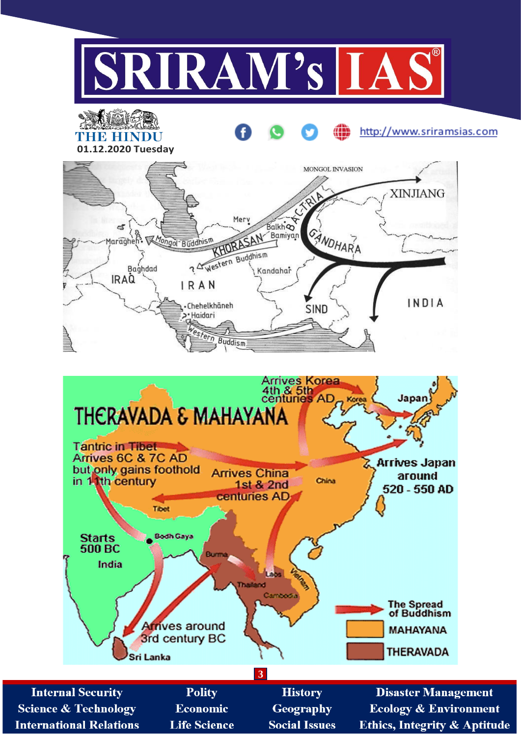